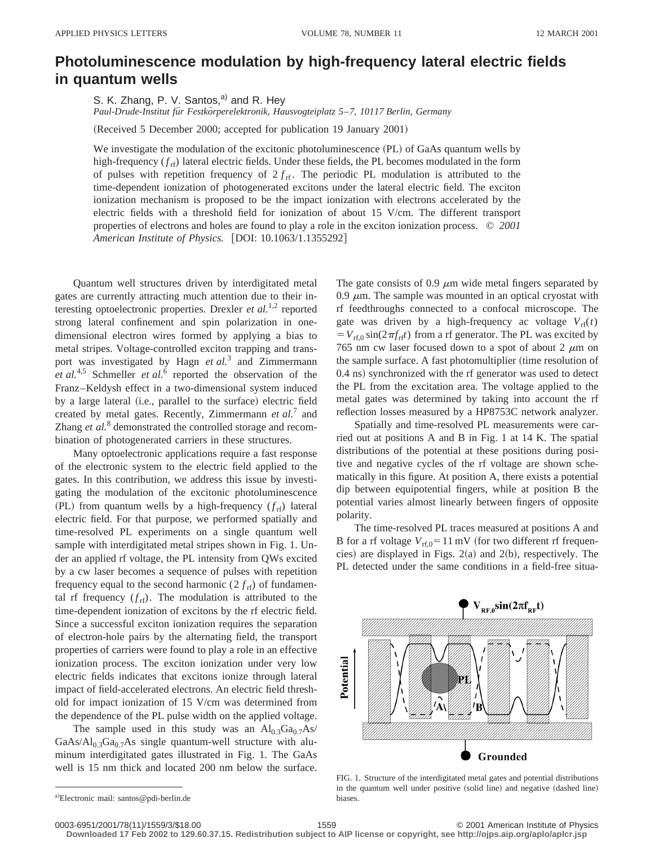## **Photoluminescence modulation by high-frequency lateral electric fields in quantum wells**

S. K. Zhang, P. V. Santos, $a^0$  and R. Hey

*Paul-Drude-Institut fu¨r Festko¨rperelektronik, Hausvogteiplatz 5*–*7, 10117 Berlin, Germany*

(Received 5 December 2000; accepted for publication 19 January 2001)

We investigate the modulation of the excitonic photoluminescence (PL) of GaAs quantum wells by high-frequency  $(f_{rf})$  lateral electric fields. Under these fields, the PL becomes modulated in the form of pulses with repetition frequency of  $2 f_{\text{rf}}$ . The periodic PL modulation is attributed to the time-dependent ionization of photogenerated excitons under the lateral electric field. The exciton ionization mechanism is proposed to be the impact ionization with electrons accelerated by the electric fields with a threshold field for ionization of about 15 V/cm. The different transport properties of electrons and holes are found to play a role in the exciton ionization process. © *2001 American Institute of Physics.* [DOI: 10.1063/1.1355292]

Quantum well structures driven by interdigitated metal gates are currently attracting much attention due to their interesting optoelectronic properties. Drexler *et al.*<sup>1,2</sup> reported strong lateral confinement and spin polarization in onedimensional electron wires formed by applying a bias to metal stripes. Voltage-controlled exciton trapping and transport was investigated by Hagn *et al.*<sup>3</sup> and Zimmermann *et al.*<sup>4,5</sup> Schmeller *et al.*<sup>6</sup> reported the observation of the Franz–Keldysh effect in a two-dimensional system induced by a large lateral (i.e., parallel to the surface) electric field created by metal gates. Recently, Zimmermann *et al.*<sup>7</sup> and Zhang *et al.*<sup>8</sup> demonstrated the controlled storage and recombination of photogenerated carriers in these structures.

Many optoelectronic applications require a fast response of the electronic system to the electric field applied to the gates. In this contribution, we address this issue by investigating the modulation of the excitonic photoluminescence (PL) from quantum wells by a high-frequency  $(f_{rf})$  lateral electric field. For that purpose, we performed spatially and time-resolved PL experiments on a single quantum well sample with interdigitated metal stripes shown in Fig. 1. Under an applied rf voltage, the PL intensity from QWs excited by a cw laser becomes a sequence of pulses with repetition frequency equal to the second harmonic  $(2 f_{\text{rf}})$  of fundamental rf frequency  $(f_{rf})$ . The modulation is attributed to the time-dependent ionization of excitons by the rf electric field. Since a successful exciton ionization requires the separation of electron-hole pairs by the alternating field, the transport properties of carriers were found to play a role in an effective ionization process. The exciton ionization under very low electric fields indicates that excitons ionize through lateral impact of field-accelerated electrons. An electric field threshold for impact ionization of 15 V/cm was determined from the dependence of the PL pulse width on the applied voltage.

The sample used in this study was an  $Al_0$ <sub>3</sub>Ga<sub>0.7</sub>As/  $GaAs/Al<sub>0.3</sub>Ga<sub>0.7</sub>As single quantum-well structure with alu$ minum interdigitated gates illustrated in Fig. 1. The GaAs well is 15 nm thick and located 200 nm below the surface. The gate consists of 0.9  $\mu$ m wide metal fingers separated by 0.9  $\mu$ m. The sample was mounted in an optical cryostat with rf feedthroughs connected to a confocal microscope. The gate was driven by a high-frequency ac voltage  $V_{\text{rf}}(t)$  $= V_{\text{rf,0}} \sin(2\pi f_{\text{rf}}t)$  from a rf generator. The PL was excited by 765 nm cw laser focused down to a spot of about 2  $\mu$ m on the sample surface. A fast photomultiplier (time resolution of 0.4 ns) synchronized with the rf generator was used to detect the PL from the excitation area. The voltage applied to the metal gates was determined by taking into account the rf reflection losses measured by a HP8753C network analyzer.

Spatially and time-resolved PL measurements were carried out at positions A and B in Fig. 1 at 14 K. The spatial distributions of the potential at these positions during positive and negative cycles of the rf voltage are shown schematically in this figure. At position A, there exists a potential dip between equipotential fingers, while at position B the potential varies almost linearly between fingers of opposite polarity.

The time-resolved PL traces measured at positions A and B for a rf voltage  $V_{rf,0}$ =11 mV (for two different rf frequencies) are displayed in Figs.  $2(a)$  and  $2(b)$ , respectively. The PL detected under the same conditions in a field-free situa-



FIG. 1. Structure of the interdigitated metal gates and potential distributions in the quantum well under positive (solid line) and negative (dashed line) biases.

**Downloaded 17 Feb 2002 to 129.60.37.15. Redistribution subject to AIP license or copyright, see http://ojps.aip.org/aplo/aplcr.jsp**

a)Electronic mail: santos@pdi-berlin.de

<sup>0003-6951/2001/78(11)/1559/3/\$18.00 1559 1559 1559 2001</sup> American Institute of Physics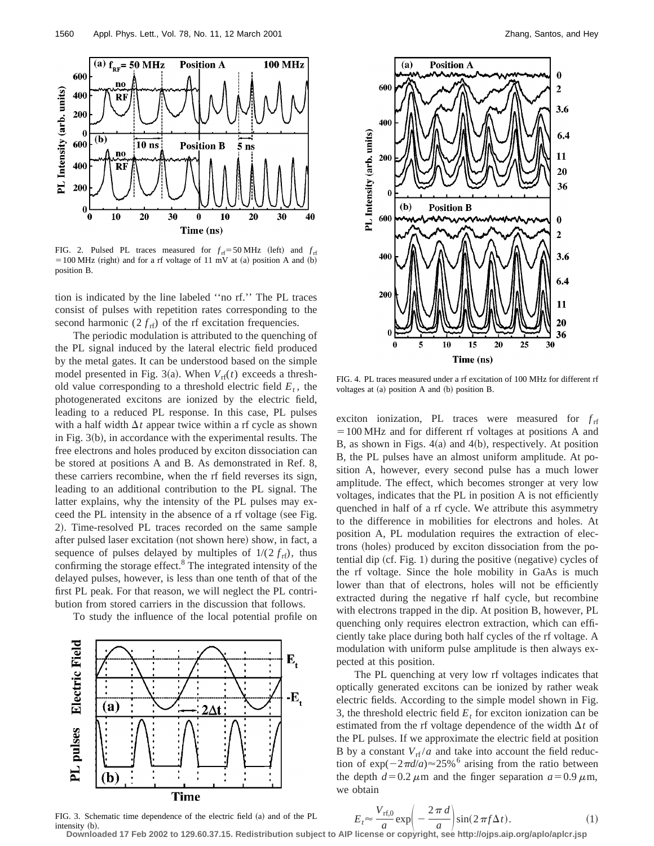

FIG. 2. Pulsed PL traces measured for  $f_{\text{rf}} = 50 \text{ MHz}$  (left) and  $f_{\text{rf}}$  $=100$  MHz (right) and for a rf voltage of 11 mV at (a) position A and (b) position B.

tion is indicated by the line labeled ''no rf.'' The PL traces consist of pulses with repetition rates corresponding to the second harmonic  $(2 f_{\text{rf}})$  of the rf excitation frequencies.

The periodic modulation is attributed to the quenching of the PL signal induced by the lateral electric field produced by the metal gates. It can be understood based on the simple model presented in Fig. 3(a). When  $V_{\text{rf}}(t)$  exceeds a threshold value corresponding to a threshold electric field  $E_t$ , the photogenerated excitons are ionized by the electric field, leading to a reduced PL response. In this case, PL pulses with a half width  $\Delta t$  appear twice within a rf cycle as shown in Fig.  $3(b)$ , in accordance with the experimental results. The free electrons and holes produced by exciton dissociation can be stored at positions A and B. As demonstrated in Ref. 8, these carriers recombine, when the rf field reverses its sign, leading to an additional contribution to the PL signal. The latter explains, why the intensity of the PL pulses may exceed the PL intensity in the absence of a rf voltage (see Fig. 2). Time-resolved PL traces recorded on the same sample after pulsed laser excitation (not shown here) show, in fact, a sequence of pulses delayed by multiples of  $1/(2 f_{\rm rf})$ , thus confirming the storage effect. $8$  The integrated intensity of the delayed pulses, however, is less than one tenth of that of the first PL peak. For that reason, we will neglect the PL contribution from stored carriers in the discussion that follows.

To study the influence of the local potential profile on



FIG. 3. Schematic time dependence of the electric field (a) and of the PL  $intensity$   $(b)$ .



FIG. 4. PL traces measured under a rf excitation of 100 MHz for different rf voltages at  $(a)$  position A and  $(b)$  position B.

exciton ionization, PL traces were measured for  $f_{\text{rf}}$  $=100$  MHz and for different rf voltages at positions A and B, as shown in Figs.  $4(a)$  and  $4(b)$ , respectively. At position B, the PL pulses have an almost uniform amplitude. At position A, however, every second pulse has a much lower amplitude. The effect, which becomes stronger at very low voltages, indicates that the PL in position A is not efficiently quenched in half of a rf cycle. We attribute this asymmetry to the difference in mobilities for electrons and holes. At position A, PL modulation requires the extraction of electrons (holes) produced by exciton dissociation from the potential dip  $(cf. Fig. 1)$  during the positive  $(negative)$  cycles of the rf voltage. Since the hole mobility in GaAs is much lower than that of electrons, holes will not be efficiently extracted during the negative rf half cycle, but recombine with electrons trapped in the dip. At position B, however, PL quenching only requires electron extraction, which can efficiently take place during both half cycles of the rf voltage. A modulation with uniform pulse amplitude is then always expected at this position.

The PL quenching at very low rf voltages indicates that optically generated excitons can be ionized by rather weak electric fields. According to the simple model shown in Fig. 3, the threshold electric field  $E_t$  for exciton ionization can be estimated from the rf voltage dependence of the width  $\Delta t$  of the PL pulses. If we approximate the electric field at position B by a constant  $V_{\text{rf}}/a$  and take into account the field reduction of  $\exp(-2\pi d/a) \approx 25\%$ <sup>6</sup> arising from the ratio between the depth  $d=0.2 \mu$ m and the finger separation  $a=0.9 \mu$ m, we obtain

$$
E_t \approx \frac{V_{\text{rf,0}}}{a} \exp\left(-\frac{2\pi d}{a}\right) \sin(2\pi f \Delta t). \tag{1}
$$

3. 3. Schematic time dependence of the electric field (a) and of the PL<br>  $E_t \approx \frac{V \text{ rf}, 0}{a} \exp\left(-\frac{2\pi a}{a}\right) \sin(2\pi f \Delta t)$ . (1)<br>
Downloaded 17 Feb 2002 to 129.60.37.15. Redistribution subject to AIP license or copyright,